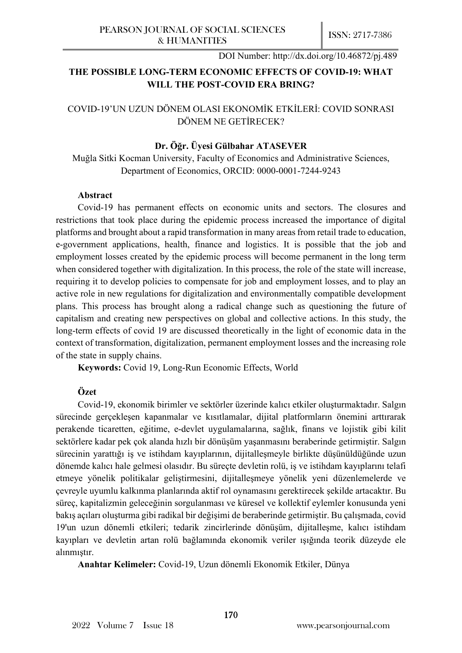# **THE POSSIBLE LONG-TERM ECONOMIC EFFECTS OF COVID-19: WHAT WILL THE POST-COVID ERA BRING?**

## COVID-19'UN UZUN DÖNEM OLASI EKONOMİK ETKİLERİ: COVID SONRASI DÖNEM NE GETİRECEK?

## **Dr. Öğr. Üyesi Gülbahar ATASEVER**

Muğla Sitki Kocman University, Faculty of Economics and Administrative Sciences, Department of Economics, ORCID: 0000-0001-7244-9243

#### **Abstract**

Covid-19 has permanent effects on economic units and sectors. The closures and restrictions that took place during the epidemic process increased the importance of digital platforms and brought about a rapid transformation in many areas from retail trade to education, e-government applications, health, finance and logistics. It is possible that the job and employment losses created by the epidemic process will become permanent in the long term when considered together with digitalization. In this process, the role of the state will increase, requiring it to develop policies to compensate for job and employment losses, and to play an active role in new regulations for digitalization and environmentally compatible development plans. This process has brought along a radical change such as questioning the future of capitalism and creating new perspectives on global and collective actions. In this study, the long-term effects of covid 19 are discussed theoretically in the light of economic data in the context of transformation, digitalization, permanent employment losses and the increasing role of the state in supply chains.

**Keywords:** Covid 19, Long-Run Economic Effects, World

## **Özet**

Covid-19, ekonomik birimler ve sektörler üzerinde kalıcı etkiler oluşturmaktadır. Salgın sürecinde gerçekleşen kapanmalar ve kısıtlamalar, dijital platformların önemini arttırarak perakende ticaretten, eğitime, e-devlet uygulamalarına, sağlık, finans ve lojistik gibi kilit sektörlere kadar pek çok alanda hızlı bir dönüşüm yaşanmasını beraberinde getirmiştir. Salgın sürecinin yarattığı iş ve istihdam kayıplarının, dijitalleşmeyle birlikte düşünüldüğünde uzun dönemde kalıcı hale gelmesi olasıdır. Bu süreçte devletin rolü, iş ve istihdam kayıplarını telafi etmeye yönelik politikalar geliştirmesini, dijitalleşmeye yönelik yeni düzenlemelerde ve çevreyle uyumlu kalkınma planlarında aktif rol oynamasını gerektirecek şekilde artacaktır. Bu süreç, kapitalizmin geleceğinin sorgulanması ve küresel ve kollektif eylemler konusunda yeni bakış açıları oluşturma gibi radikal bir değişimi de beraberinde getirmiştir. Bu çalışmada, covid 19'un uzun dönemli etkileri; tedarik zincirlerinde dönüşüm, dijitalleşme, kalıcı istihdam kayıpları ve devletin artan rolü bağlamında ekonomik veriler ışığında teorik düzeyde ele alınmıştır.

**Anahtar Kelimeler:** Covid-19, Uzun dönemli Ekonomik Etkiler, Dünya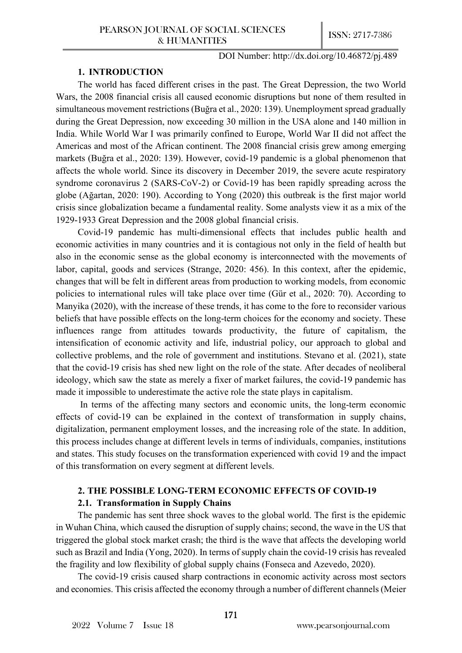#### **1. INTRODUCTION**

The world has faced different crises in the past. The Great Depression, the two World Wars, the 2008 financial crisis all caused economic disruptions but none of them resulted in simultaneous movement restrictions (Buğra et al., 2020: 139). Unemployment spread gradually during the Great Depression, now exceeding 30 million in the USA alone and 140 million in India. While World War I was primarily confined to Europe, World War II did not affect the Americas and most of the African continent. The 2008 financial crisis grew among emerging markets (Buğra et al., 2020: 139). However, covid-19 pandemic is a global phenomenon that affects the whole world. Since its discovery in December 2019, the severe acute respiratory syndrome coronavirus 2 (SARS-CoV-2) or Covid-19 has been rapidly spreading across the globe (Ağartan, 2020: 190). According to Yong (2020) this outbreak is the first major world crisis since globalization became a fundamental reality. Some analysts view it as a mix of the 1929-1933 Great Depression and the 2008 global financial crisis.

Covid-19 pandemic has multi-dimensional effects that includes public health and economic activities in many countries and it is contagious not only in the field of health but also in the economic sense as the global economy is interconnected with the movements of labor, capital, goods and services (Strange, 2020: 456). In this context, after the epidemic, changes that will be felt in different areas from production to working models, from economic policies to international rules will take place over time (Gür et al., 2020: 70). According to Manyika (2020), with the increase of these trends, it has come to the fore to reconsider various beliefs that have possible effects on the long-term choices for the economy and society. These influences range from attitudes towards productivity, the future of capitalism, the intensification of economic activity and life, industrial policy, our approach to global and collective problems, and the role of government and institutions. Stevano et al. (2021), state that the covid-19 crisis has shed new light on the role of the state. After decades of neoliberal ideology, which saw the state as merely a fixer of market failures, the covid-19 pandemic has made it impossible to underestimate the active role the state plays in capitalism.

In terms of the affecting many sectors and economic units, the long-term economic effects of covid-19 can be explained in the context of transformation in supply chains, digitalization, permanent employment losses, and the increasing role of the state. In addition, this process includes change at different levels in terms of individuals, companies, institutions and states. This study focuses on the transformation experienced with covid 19 and the impact of this transformation on every segment at different levels.

## **2. THE POSSIBLE LONG-TERM ECONOMIC EFFECTS OF COVID-19**

## **2.1. Transformation in Supply Chains**

The pandemic has sent three shock waves to the global world. The first is the epidemic in Wuhan China, which caused the disruption of supply chains; second, the wave in the US that triggered the global stock market crash; the third is the wave that affects the developing world such as Brazil and India (Yong, 2020). In terms of supply chain the covid-19 crisis has revealed the fragility and low flexibility of global supply chains (Fonseca and Azevedo, 2020).

The covid-19 crisis caused sharp contractions in economic activity across most sectors and economies. This crisis affected the economy through a number of different channels (Meier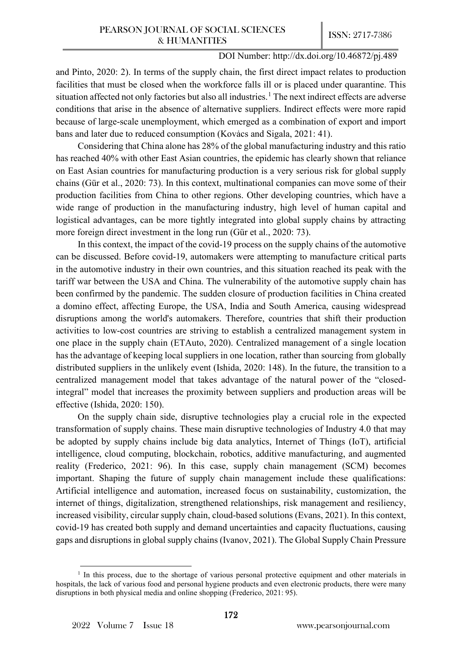and Pinto, 2020: 2). In terms of the supply chain, the first direct impact relates to production facilities that must be closed when the workforce falls ill or is placed under quarantine. This situation affected not only factories but also all industries.<sup>[1](#page-2-0)</sup> The next indirect effects are adverse conditions that arise in the absence of alternative suppliers. Indirect effects were more rapid because of large-scale unemployment, which emerged as a combination of export and import bans and later due to reduced consumption (Kovács and Sigala, 2021: 41).

Considering that China alone has 28% of the global manufacturing industry and this ratio has reached 40% with other East Asian countries, the epidemic has clearly shown that reliance on East Asian countries for manufacturing production is a very serious risk for global supply chains (Gür et al., 2020: 73). In this context, multinational companies can move some of their production facilities from China to other regions. Other developing countries, which have a wide range of production in the manufacturing industry, high level of human capital and logistical advantages, can be more tightly integrated into global supply chains by attracting more foreign direct investment in the long run (Gür et al., 2020: 73).

In this context, the impact of the covid-19 process on the supply chains of the automotive can be discussed. Before covid-19, automakers were attempting to manufacture critical parts in the automotive industry in their own countries, and this situation reached its peak with the tariff war between the USA and China. The vulnerability of the automotive supply chain has been confirmed by the pandemic. The sudden closure of production facilities in China created a domino effect, affecting Europe, the USA, India and South America, causing widespread disruptions among the world's automakers. Therefore, countries that shift their production activities to low-cost countries are striving to establish a centralized management system in one place in the supply chain (ETAuto, 2020). Centralized management of a single location has the advantage of keeping local suppliers in one location, rather than sourcing from globally distributed suppliers in the unlikely event (Ishida, 2020: 148). In the future, the transition to a centralized management model that takes advantage of the natural power of the "closedintegral" model that increases the proximity between suppliers and production areas will be effective (Ishida, 2020: 150).

On the supply chain side, disruptive technologies play a crucial role in the expected transformation of supply chains. These main disruptive technologies of Industry 4.0 that may be adopted by supply chains include big data analytics, Internet of Things (IoT), artificial intelligence, cloud computing, blockchain, robotics, additive manufacturing, and augmented reality (Frederico, 2021: 96). In this case, supply chain management (SCM) becomes important. Shaping the future of supply chain management include these qualifications: Artificial intelligence and automation, increased focus on sustainability, customization, the internet of things, digitalization, strengthened relationships, risk management and resiliency, increased visibility, circular supply chain, cloud-based solutions (Evans, 2021). In this context, covid-19 has created both supply and demand uncertainties and capacity fluctuations, causing gaps and disruptions in global supply chains (Ivanov, 2021). The Global Supply Chain Pressure

<span id="page-2-0"></span> $1$  In this process, due to the shortage of various personal protective equipment and other materials in hospitals, the lack of various food and personal hygiene products and even electronic products, there were many disruptions in both physical media and online shopping (Frederico, 2021: 95).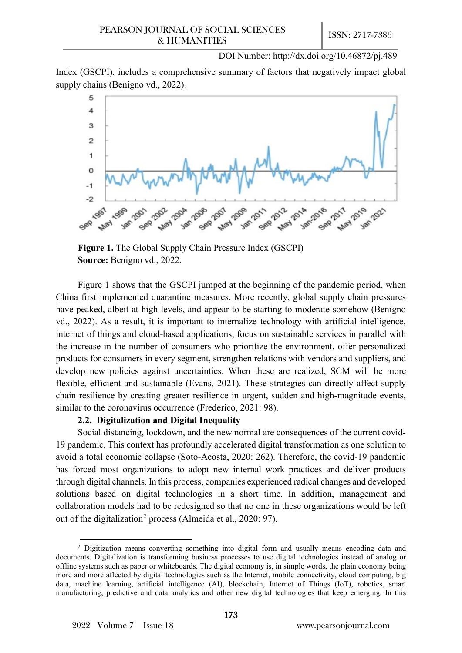Index (GSCPI). includes a comprehensive summary of factors that negatively impact global supply chains (Benigno vd., 2022).



**Figure 1.** The Global Supply Chain Pressure Index (GSCPI) **Source:** Benigno vd., 2022.

Figure 1 shows that the GSCPI jumped at the beginning of the pandemic period, when China first implemented quarantine measures. More recently, global supply chain pressures have peaked, albeit at high levels, and appear to be starting to moderate somehow (Benigno vd., 2022). As a result, it is important to internalize technology with artificial intelligence, internet of things and cloud-based applications, focus on sustainable services in parallel with the increase in the number of consumers who prioritize the environment, offer personalized products for consumers in every segment, strengthen relations with vendors and suppliers, and develop new policies against uncertainties. When these are realized, SCM will be more flexible, efficient and sustainable (Evans, 2021). These strategies can directly affect supply chain resilience by creating greater resilience in urgent, sudden and high-magnitude events, similar to the coronavirus occurrence (Frederico, 2021: 98).

## **2.2. Digitalization and Digital Inequality**

Social distancing, lockdown, and the new normal are consequences of the current covid-19 pandemic. This context has profoundly accelerated digital transformation as one solution to avoid a total economic collapse (Soto-Acosta, 2020: 262). Therefore, the covid-19 pandemic has forced most organizations to adopt new internal work practices and deliver products through digital channels. In this process, companies experienced radical changes and developed solutions based on digital technologies in a short time. In addition, management and collaboration models had to be redesigned so that no one in these organizations would be left out of the digitalization<sup>[2](#page-3-0)</sup> process (Almeida et al., 2020: 97).

<span id="page-3-0"></span><sup>&</sup>lt;sup>2</sup> Digitization means converting something into digital form and usually means encoding data and documents. Digitalization is transforming business processes to use digital technologies instead of analog or offline systems such as paper or whiteboards. The digital economy is, in simple words, the plain economy being more and more affected by digital technologies such as the Internet, mobile connectivity, cloud computing, big data, machine learning, artificial intelligence (AI), blockchain, Internet of Things (IoT), robotics, smart manufacturing, predictive and data analytics and other new digital technologies that keep emerging. In this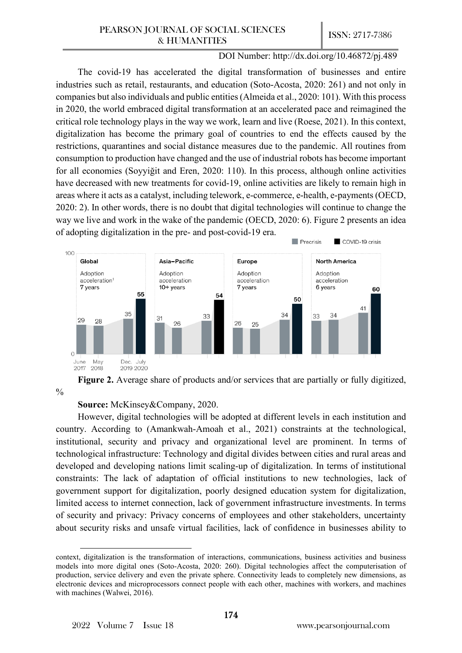COVID-19 crisis

## DOI Number: http://dx.doi.org/10.46872/pj.489

 $\blacksquare$  Precrisis

The covid-19 has accelerated the digital transformation of businesses and entire industries such as retail, restaurants, and education (Soto-Acosta, 2020: 261) and not only in companies but also individuals and public entities(Almeida et al., 2020: 101). With this process in 2020, the world embraced digital transformation at an accelerated pace and reimagined the critical role technology plays in the way we work, learn and live (Roese, 2021). In this context, digitalization has become the primary goal of countries to end the effects caused by the restrictions, quarantines and social distance measures due to the pandemic. All routines from consumption to production have changed and the use of industrial robots has become important for all economies (Soyyiğit and Eren, 2020: 110). In this process, although online activities have decreased with new treatments for covid-19, online activities are likely to remain high in areas where it acts as a catalyst, including telework, e-commerce, e-health, e-payments (OECD, 2020: 2). In other words, there is no doubt that digital technologies will continue to change the way we live and work in the wake of the pandemic (OECD, 2020: 6). Figure 2 presents an idea of adopting digitalization in the pre- and post-covid-19 era.





## **Source:** McKinsey&Company, 2020.

However, digital technologies will be adopted at different levels in each institution and country. According to (Amankwah-Amoah et al., 2021) constraints at the technological, institutional, security and privacy and organizational level are prominent. In terms of technological infrastructure: Technology and digital divides between cities and rural areas and developed and developing nations limit scaling-up of digitalization. In terms of institutional constraints: The lack of adaptation of official institutions to new technologies, lack of government support for digitalization, poorly designed education system for digitalization, limited access to internet connection, lack of government infrastructure investments. In terms of security and privacy: Privacy concerns of employees and other stakeholders, uncertainty about security risks and unsafe virtual facilities, lack of confidence in businesses ability to

context, digitalization is the transformation of interactions, communications, business activities and business models into more digital ones (Soto-Acosta, 2020: 260). Digital technologies affect the computerisation of production, service delivery and even the private sphere. Connectivity leads to completely new dimensions, as electronic devices and microprocessors connect people with each other, machines with workers, and machines with machines (Walwei, 2016).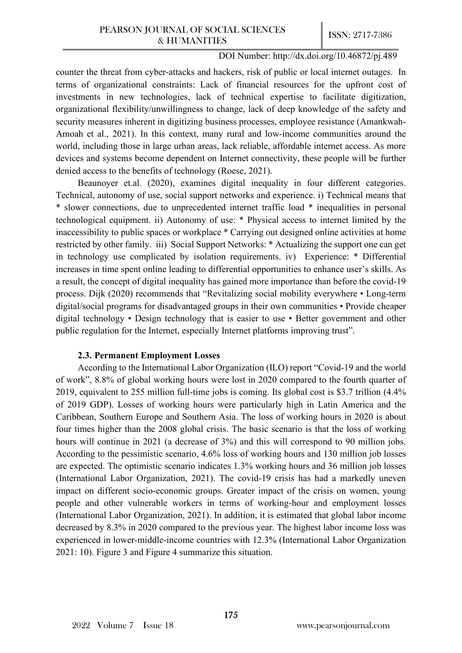counter the threat from cyber-attacks and hackers, risk of public or local internet outages. In terms of organizational constraints: Lack of financial resources for the upfront cost of investments in new technologies, lack of technical expertise to facilitate digitization, organizational flexibility/unwillingness to change, lack of deep knowledge of the safety and security measures inherent in digitizing business processes, employee resistance (Amankwah-Amoah et al., 2021). In this context, many rural and low-income communities around the world, including those in large urban areas, lack reliable, affordable internet access. As more devices and systems become dependent on Internet connectivity, these people will be further denied access to the benefits of technology (Roese, 2021).

Beaunoyer et.al. (2020), examines digital inequality in four different categories. Technical, autonomy of use, social support networks and experience. i) Technical means that \* slower connections, due to unprecedented internet traffic load \* inequalities in personal technological equipment. ii) Autonomy of use: \* Physical access to internet limited by the inaccessibility to public spaces or workplace \* Carrying out designed online activities at home restricted by other family. iii) Social Support Networks: \* Actualizing the support one can get in technology use complicated by isolation requirements. iv) Experience: \* Differential increases in time spent online leading to differential opportunities to enhance user's skills. As a result, the concept of digital inequality has gained more importance than before the covid-19 process. Dijk (2020) recommends that "Revitalizing social mobility everywhere • Long-term digital/social programs for disadvantaged groups in their own communities • Provide cheaper digital technology • Design technology that is easier to use • Better government and other public regulation for the Internet, especially Internet platforms improving trust".

#### **2.3. Permanent Employment Losses**

According to the International Labor Organization (ILO) report "Covid-19 and the world of work", 8.8% of global working hours were lost in 2020 compared to the fourth quarter of 2019, equivalent to 255 million full-time jobs is coming. Its global cost is \$3.7 trillion (4.4% of 2019 GDP). Losses of working hours were particularly high in Latin America and the Caribbean, Southern Europe and Southern Asia. The loss of working hours in 2020 is about four times higher than the 2008 global crisis. The basic scenario is that the loss of working hours will continue in 2021 (a decrease of  $3\%$ ) and this will correspond to 90 million jobs. According to the pessimistic scenario, 4.6% loss of working hours and 130 million job losses are expected. The optimistic scenario indicates 1.3% working hours and 36 million job losses (International Labor Organization, 2021). The covid-19 crisis has had a markedly uneven impact on different socio-economic groups. Greater impact of the crisis on women, young people and other vulnerable workers in terms of working-hour and employment losses (International Labor Organization, 2021). In addition, it is estimated that global labor income decreased by 8.3% in 2020 compared to the previous year. The highest labor income loss was experienced in lower-middle-income countries with 12.3% (International Labor Organization 2021: 10). Figure 3 and Figure 4 summarize this situation.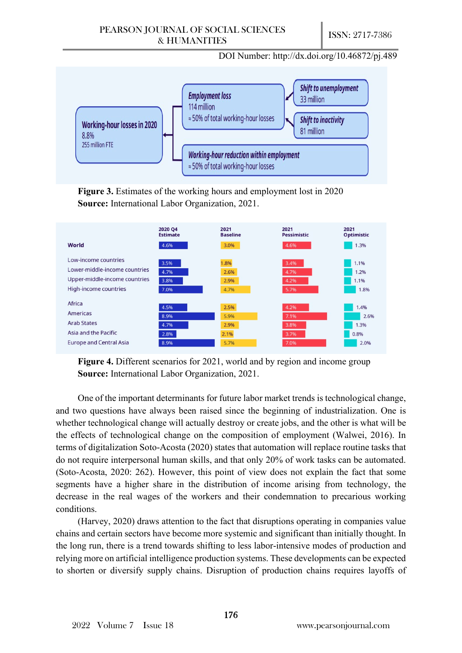

**Figure 3.** Estimates of the working hours and employment lost in 2020 **Source:** International Labor Organization, 2021.



**Figure 4.** Different scenarios for 2021, world and by region and income group **Source:** International Labor Organization, 2021.

One of the important determinants for future labor market trends is technological change, and two questions have always been raised since the beginning of industrialization. One is whether technological change will actually destroy or create jobs, and the other is what will be the effects of technological change on the composition of employment (Walwei, 2016). In terms of digitalization Soto-Acosta (2020) states that automation will replace routine tasks that do not require interpersonal human skills, and that only 20% of work tasks can be automated. (Soto-Acosta, 2020: 262). However, this point of view does not explain the fact that some segments have a higher share in the distribution of income arising from technology, the decrease in the real wages of the workers and their condemnation to precarious working conditions.

(Harvey, 2020) draws attention to the fact that disruptions operating in companies value chains and certain sectors have become more systemic and significant than initially thought. In the long run, there is a trend towards shifting to less labor-intensive modes of production and relying more on artificial intelligence production systems. These developments can be expected to shorten or diversify supply chains. Disruption of production chains requires layoffs of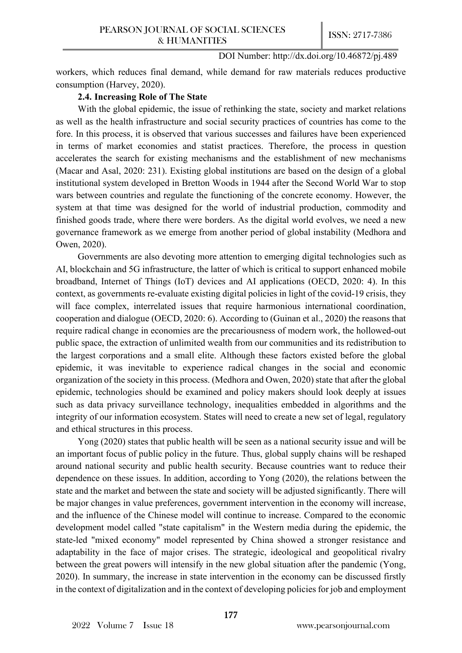workers, which reduces final demand, while demand for raw materials reduces productive consumption (Harvey, 2020).

## **2.4. Increasing Role of The State**

With the global epidemic, the issue of rethinking the state, society and market relations as well as the health infrastructure and social security practices of countries has come to the fore. In this process, it is observed that various successes and failures have been experienced in terms of market economies and statist practices. Therefore, the process in question accelerates the search for existing mechanisms and the establishment of new mechanisms (Macar and Asal, 2020: 231). Existing global institutions are based on the design of a global institutional system developed in Bretton Woods in 1944 after the Second World War to stop wars between countries and regulate the functioning of the concrete economy. However, the system at that time was designed for the world of industrial production, commodity and finished goods trade, where there were borders. As the digital world evolves, we need a new governance framework as we emerge from another period of global instability (Medhora and Owen, 2020).

Governments are also devoting more attention to emerging digital technologies such as AI, blockchain and 5G infrastructure, the latter of which is critical to support enhanced mobile broadband, Internet of Things (IoT) devices and AI applications (OECD, 2020: 4). In this context, as governments re-evaluate existing digital policies in light of the covid-19 crisis, they will face complex, interrelated issues that require harmonious international coordination, cooperation and dialogue (OECD, 2020: 6). According to (Guinan et al., 2020) the reasons that require radical change in economies are the precariousness of modern work, the hollowed-out public space, the extraction of unlimited wealth from our communities and its redistribution to the largest corporations and a small elite. Although these factors existed before the global epidemic, it was inevitable to experience radical changes in the social and economic organization of the society in this process. (Medhora and Owen, 2020) state that after the global epidemic, technologies should be examined and policy makers should look deeply at issues such as data privacy surveillance technology, inequalities embedded in algorithms and the integrity of our information ecosystem. States will need to create a new set of legal, regulatory and ethical structures in this process.

Yong (2020) states that public health will be seen as a national security issue and will be an important focus of public policy in the future. Thus, global supply chains will be reshaped around national security and public health security. Because countries want to reduce their dependence on these issues. In addition, according to Yong (2020), the relations between the state and the market and between the state and society will be adjusted significantly. There will be major changes in value preferences, government intervention in the economy will increase, and the influence of the Chinese model will continue to increase. Compared to the economic development model called "state capitalism" in the Western media during the epidemic, the state-led "mixed economy" model represented by China showed a stronger resistance and adaptability in the face of major crises. The strategic, ideological and geopolitical rivalry between the great powers will intensify in the new global situation after the pandemic (Yong, 2020). In summary, the increase in state intervention in the economy can be discussed firstly in the context of digitalization and in the context of developing policies for job and employment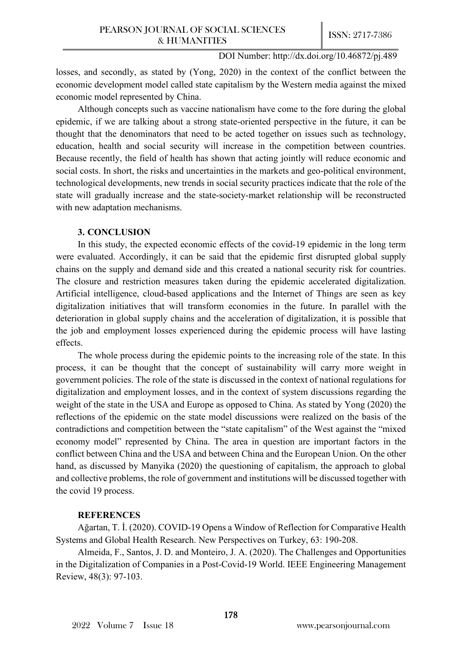losses, and secondly, as stated by (Yong, 2020) in the context of the conflict between the economic development model called state capitalism by the Western media against the mixed economic model represented by China.

Although concepts such as vaccine nationalism have come to the fore during the global epidemic, if we are talking about a strong state-oriented perspective in the future, it can be thought that the denominators that need to be acted together on issues such as technology, education, health and social security will increase in the competition between countries. Because recently, the field of health has shown that acting jointly will reduce economic and social costs. In short, the risks and uncertainties in the markets and geo-political environment, technological developments, new trends in social security practices indicate that the role of the state will gradually increase and the state-society-market relationship will be reconstructed with new adaptation mechanisms.

#### **3. CONCLUSION**

In this study, the expected economic effects of the covid-19 epidemic in the long term were evaluated. Accordingly, it can be said that the epidemic first disrupted global supply chains on the supply and demand side and this created a national security risk for countries. The closure and restriction measures taken during the epidemic accelerated digitalization. Artificial intelligence, cloud-based applications and the Internet of Things are seen as key digitalization initiatives that will transform economies in the future. In parallel with the deterioration in global supply chains and the acceleration of digitalization, it is possible that the job and employment losses experienced during the epidemic process will have lasting effects.

The whole process during the epidemic points to the increasing role of the state. In this process, it can be thought that the concept of sustainability will carry more weight in government policies. The role of the state is discussed in the context of national regulations for digitalization and employment losses, and in the context of system discussions regarding the weight of the state in the USA and Europe as opposed to China. As stated by Yong (2020) the reflections of the epidemic on the state model discussions were realized on the basis of the contradictions and competition between the "state capitalism" of the West against the "mixed economy model" represented by China. The area in question are important factors in the conflict between China and the USA and between China and the European Union. On the other hand, as discussed by Manyika (2020) the questioning of capitalism, the approach to global and collective problems, the role of government and institutions will be discussed together with the covid 19 process.

## **REFERENCES**

Ağartan, T. İ. (2020). COVID-19 Opens a Window of Reflection for Comparative Health Systems and Global Health Research. New Perspectives on Turkey, 63: 190-208.

Almeida, F., Santos, J. D. and Monteiro, J. A. (2020). The Challenges and Opportunities in the Digitalization of Companies in a Post-Covid-19 World. IEEE Engineering Management Review, 48(3): 97-103.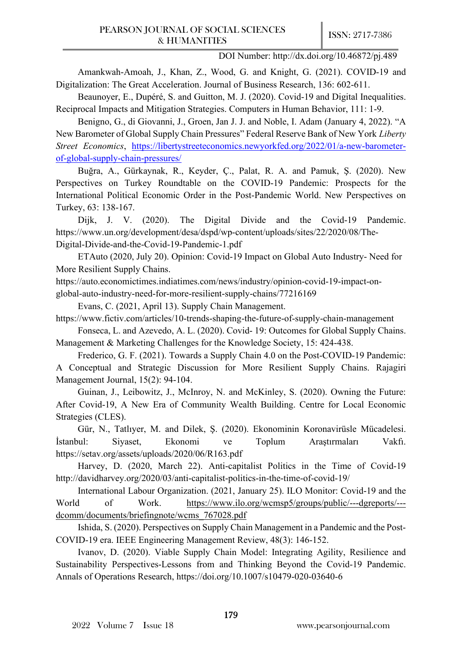Amankwah-Amoah, J., Khan, Z., Wood, G. and Knight, G. (2021). COVID-19 and Digitalization: The Great Acceleration. Journal of Business Research, 136: 602-611.

Beaunoyer, E., Dupéré, S. and Guitton, M. J. (2020). Covid-19 and Digital Inequalities. Reciprocal Impacts and Mitigation Strategies. Computers in Human Behavior, 111: 1-9.

Benigno, G., di Giovanni, J., Groen, Jan J. J. and Noble, I. Adam (January 4, 2022). "A New Barometer of Global Supply Chain Pressures" Federal Reserve Bank of New York *Liberty Street Economics*, [https://libertystreeteconomics.newyorkfed.org/2022/01/a](https://libertystreeteconomics.newyorkfed.org/2022/01/a-new-barometer-of-global-supply-chain-pressures/)-new-barometerof-global-supply-chain-[pressures/](https://libertystreeteconomics.newyorkfed.org/2022/01/a-new-barometer-of-global-supply-chain-pressures/)

Buğra, A., Gürkaynak, R., Keyder, Ç., Palat, R. A. and Pamuk, Ş. (2020). New Perspectives on Turkey Roundtable on the COVID-19 Pandemic: Prospects for the International Political Economic Order in the Post-Pandemic World. New Perspectives on Turkey, 63: 138-167.

Dijk, J. V. (2020). The Digital Divide and the Covid-19 Pandemic. https://www.un.org/development/desa/dspd/wp-content/uploads/sites/22/2020/08/The-Digital-Divide-and-the-Covid-19-Pandemic-1.pdf

ETAuto (2020, July 20). Opinion: Covid-19 Impact on Global Auto Industry- Need for More Resilient Supply Chains.

https://auto.economictimes.indiatimes.com/news/industry/opinion-covid-19-impact-onglobal-auto-industry-need-for-more-resilient-supply-chains/77216169

Evans, C. (2021, April 13). Supply Chain Management.

https://www.fictiv.com/articles/10-trends-shaping-the-future-of-supply-chain-management

Fonseca, L. and Azevedo, A. L. (2020). Covid- 19: Outcomes for Global Supply Chains. Management & Marketing Challenges for the Knowledge Society, 15: 424-438.

Frederico, G. F. (2021). Towards a Supply Chain 4.0 on the Post-COVID-19 Pandemic: A Conceptual and Strategic Discussion for More Resilient Supply Chains. Rajagiri Management Journal, 15(2): 94-104.

Guinan, J., Leibowitz, J., McInroy, N. and McKinley, S. (2020). Owning the Future: After Covid-19, A New Era of Community Wealth Building. Centre for Local Economic Strategies (CLES).

Gür, N., Tatlıyer, M. and Dilek, Ş. (2020). Ekonominin Koronavirüsle Mücadelesi. İstanbul: Siyaset, Ekonomi ve Toplum Araştırmaları Vakfı. https://setav.org/assets/uploads/2020/06/R163.pdf

Harvey, D. (2020, March 22). Anti-capitalist Politics in the Time of Covid-19 http://davidharvey.org/2020/03/anti-capitalist-politics-in-the-time-of-covid-19/

International Labour Organization. (2021, January 25). ILO Monitor: Covid-19 and the World of Work. [https://www.ilo.org/wcmsp5/groups/public/](https://www.ilo.org/wcmsp5/groups/public/---dgreports/---dcomm/documents/briefingnote/wcms_767028.pdf)---dgreports/-- d[comm/documents/briefingnote/wcms\\_767028.pdf](https://www.ilo.org/wcmsp5/groups/public/---dgreports/---dcomm/documents/briefingnote/wcms_767028.pdf)

Ishida, S. (2020). Perspectives on Supply Chain Management in a Pandemic and the Post-COVID-19 era. IEEE Engineering Management Review, 48(3): 146-152.

Ivanov, D. (2020). Viable Supply Chain Model: Integrating Agility, Resilience and Sustainability Perspectives-Lessons from and Thinking Beyond the Covid-19 Pandemic. Annals of Operations Research, https://doi.org/10.1007/s10479-020-03640-6